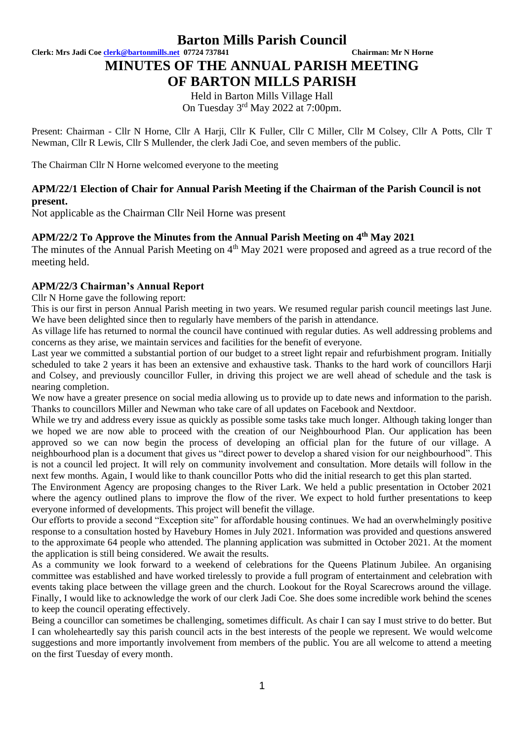# **Barton Mills Parish Council**

**Clerk: Mrs Jadi Coe [clerk@bartonmills.net](mailto:clerk@bartonmills.net) 07724 737841 Chairman: Mr N Horne**

**MINUTES OF THE ANNUAL PARISH MEETING** 

# **OF BARTON MILLS PARISH**

Held in Barton Mills Village Hall On Tuesday 3<sup>rd</sup> May 2022 at 7:00pm.

Present: Chairman - Cllr N Horne, Cllr A Harji, Cllr K Fuller, Cllr C Miller, Cllr M Colsey, Cllr A Potts, Cllr T Newman, Cllr R Lewis, Cllr S Mullender, the clerk Jadi Coe, and seven members of the public.

The Chairman Cllr N Horne welcomed everyone to the meeting

#### **APM/22/1 Election of Chair for Annual Parish Meeting if the Chairman of the Parish Council is not present.**

Not applicable as the Chairman Cllr Neil Horne was present

## **APM/22/2 To Approve the Minutes from the Annual Parish Meeting on 4 th May 2021**

The minutes of the Annual Parish Meeting on  $4<sup>th</sup>$  May 2021 were proposed and agreed as a true record of the meeting held.

## **APM/22/3 Chairman's Annual Report**

Cllr N Horne gave the following report:

This is our first in person Annual Parish meeting in two years. We resumed regular parish council meetings last June. We have been delighted since then to regularly have members of the parish in attendance.

As village life has returned to normal the council have continued with regular duties. As well addressing problems and concerns as they arise, we maintain services and facilities for the benefit of everyone.

Last year we committed a substantial portion of our budget to a street light repair and refurbishment program. Initially scheduled to take 2 years it has been an extensive and exhaustive task. Thanks to the hard work of councillors Harji and Colsey, and previously councillor Fuller, in driving this project we are well ahead of schedule and the task is nearing completion.

We now have a greater presence on social media allowing us to provide up to date news and information to the parish. Thanks to councillors Miller and Newman who take care of all updates on Facebook and Nextdoor.

While we try and address every issue as quickly as possible some tasks take much longer. Although taking longer than we hoped we are now able to proceed with the creation of our Neighbourhood Plan. Our application has been approved so we can now begin the process of developing an official plan for the future of our village. A neighbourhood plan is a document that gives us "direct power to develop a shared vision for our neighbourhood". This is not a council led project. It will rely on community involvement and consultation. More details will follow in the next few months. Again, I would like to thank councillor Potts who did the initial research to get this plan started.

The Environment Agency are proposing changes to the River Lark. We held a public presentation in October 2021 where the agency outlined plans to improve the flow of the river. We expect to hold further presentations to keep everyone informed of developments. This project will benefit the village.

Our efforts to provide a second "Exception site" for affordable housing continues. We had an overwhelmingly positive response to a consultation hosted by Havebury Homes in July 2021. Information was provided and questions answered to the approximate 64 people who attended. The planning application was submitted in October 2021. At the moment the application is still being considered. We await the results.

As a community we look forward to a weekend of celebrations for the Queens Platinum Jubilee. An organising committee was established and have worked tirelessly to provide a full program of entertainment and celebration with events taking place between the village green and the church. Lookout for the Royal Scarecrows around the village. Finally, I would like to acknowledge the work of our clerk Jadi Coe. She does some incredible work behind the scenes to keep the council operating effectively.

Being a councillor can sometimes be challenging, sometimes difficult. As chair I can say I must strive to do better. But I can wholeheartedly say this parish council acts in the best interests of the people we represent. We would welcome suggestions and more importantly involvement from members of the public. You are all welcome to attend a meeting on the first Tuesday of every month.